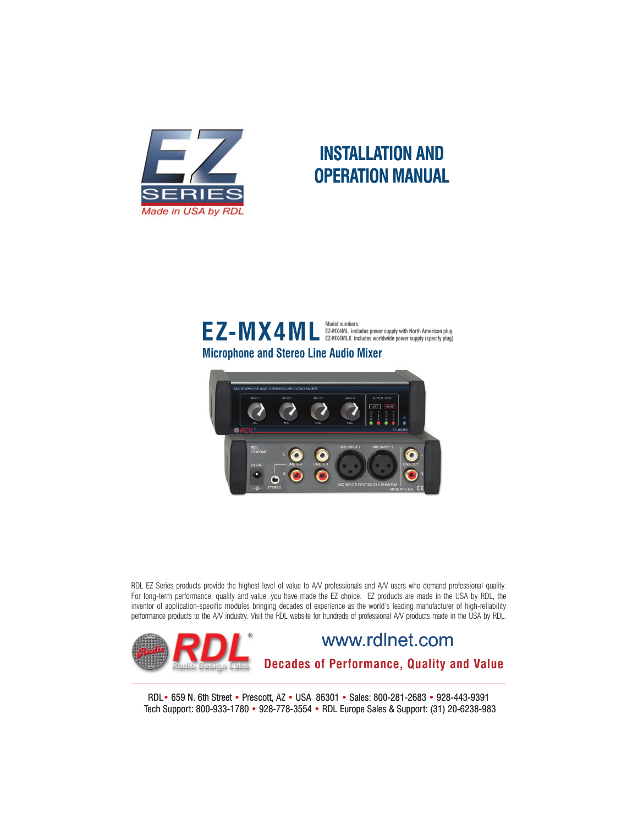

## **INSTALLATION AND OPERATION MANUAL**



**Microphone and Stereo Line Audio Mixer**



RDL EZ Series products provide the highest level of value to A/V professionals and A/V users who demand professional quality. For long-term performance, quality and value, you have made the EZ choice. EZ products are made in the USA by RDL, the inventor of application-specific modules bringing decades of experience as the world's leading manufacturer of high-reliability performance products to the A/V industry. Visit the RDL website for hundreds of professional A/V products made in the USA by RDL.



RDL• 659 N. 6th Street • Prescott, AZ • USA 86301 • Sales: 800-281-2683 • 928-443-9391 Tech Support: 800-933-1780 • 928-778-3554 • RDL Europe Sales & Support: (31) 20-6238-983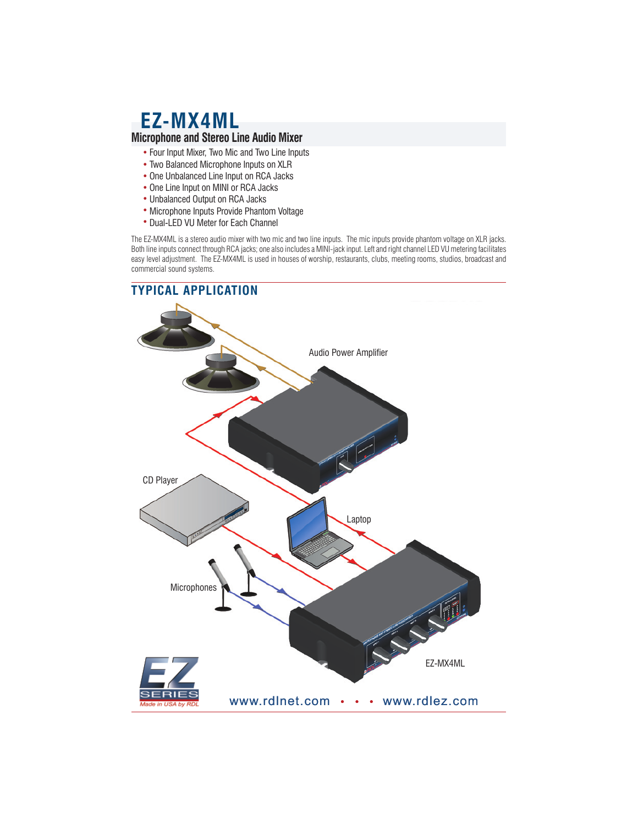## **EZ-MX4ML Microphone and Stereo Line Audio Mixer**

- Four Input Mixer, Two Mic and Two Line Inputs
- Two Balanced Microphone Inputs on XLR
- One Unbalanced Line Input on RCA Jacks
- One Line Input on MINI or RCA Jacks
- Unbalanced Output on RCA Jacks
- Microphone Inputs Provide Phantom Voltage
- Dual-LED VU Meter for Each Channel

The EZ-MX4ML is a stereo audio mixer with two mic and two line inputs. The mic inputs provide phantom voltage on XLR jacks. Both line inputs connect through RCA jacks; one also includes a MINI-jack input. Left and right channel LED VU metering facilitates easy level adjustment. The EZ-MX4ML is used in houses of worship, restaurants, clubs, meeting rooms, studios, broadcast and commercial sound systems.

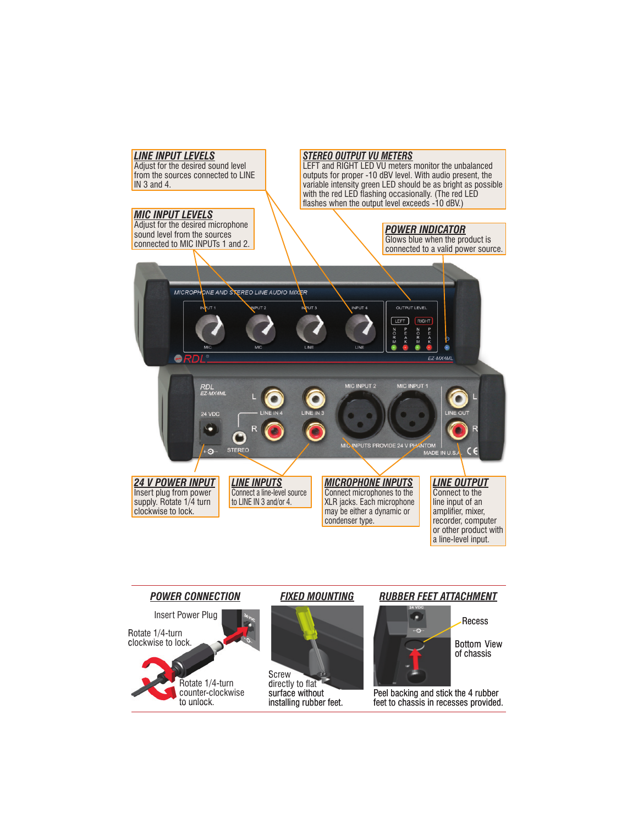